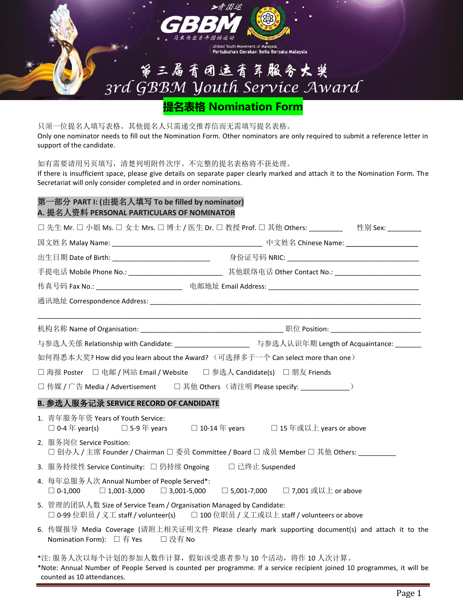

| United Youth Movement of Malaysia<br>| Pertubuhan Gerakan Belia Bersatu Malaysia

# 第三届青团运青年服务大奖 3rd GBBM Youth Service Award

**提名表格 Nomination Form**

只须一位提名人填写表格。其他提名人只需递交推荐信而无需填写提名表格。 Only one nominator needs to fill out the Nomination Form. Other nominators are only required to submit a reference letter in support of the candidate.

如有需要请用另页填写,清楚列明附件次序。不完整的提名表格将不获处理。

If there is insufficient space, please give details on separate paper clearly marked and attach it to the Nomination Form. The Secretariat will only consider completed and in order nominations.

### 第一部分 **PART I: (**由提名人填写 **To be filled by nominator) A.** 提名人资料 **PERSONAL PARTICULARS OF NOMINATOR**

| □ 先生 Mr. □ 小姐 Ms. □ 女士 Mrs. □ 博士 / 医生 Dr. □ 教授 Prof. □ 其他 Others: ________  性别 Sex: ________                                                                                                          |                                                                                                      |  |  |
|-------------------------------------------------------------------------------------------------------------------------------------------------------------------------------------------------------|------------------------------------------------------------------------------------------------------|--|--|
|                                                                                                                                                                                                       |                                                                                                      |  |  |
|                                                                                                                                                                                                       |                                                                                                      |  |  |
|                                                                                                                                                                                                       | 传真号码 Fax No.: _______________________________电邮地址    Email Address: ________________________________ |  |  |
|                                                                                                                                                                                                       |                                                                                                      |  |  |
|                                                                                                                                                                                                       |                                                                                                      |  |  |
|                                                                                                                                                                                                       |                                                                                                      |  |  |
| 与参选人关係 Relationship with Candidate: ______________________ 与参选人认识年期 Length of Acquaintance: _______                                                                                                   |                                                                                                      |  |  |
| 如何得悉本大奖? How did you learn about the Award? (可选择多于一个 Can select more than one )                                                                                                                       |                                                                                                      |  |  |
| □ 海报 Poster □ 电邮 / 网站 Email / Website □ 参选人 Candidate(s) □ 朋友 Friends                                                                                                                                 |                                                                                                      |  |  |
| □ 传媒 / 广告 Media / Advertisement  □ 其他 Others (请注明 Please specify: _________________________________                                                                                                   |                                                                                                      |  |  |
| B. 参选人服务记录 SERVICE RECORD OF CANDIDATE                                                                                                                                                                |                                                                                                      |  |  |
| 1. 青年服务年资 Years of Youth Service:<br>□ 0-4年 year(s) □ 5-9年 years □ 10-14年 years □ 15年或以上 years or above                                                                                               |                                                                                                      |  |  |
| 2. 服务岗位 Service Position:<br>□ 创办人 / 主席 Founder / Chairman □ 委员 Committee / Board □ 成员 Member □ 其他 Others: _________                                                                                  |                                                                                                      |  |  |
| 3. 服务持续性 Service Continuity: □ 仍持续 Ongoing □ □ 已终止 Suspended                                                                                                                                          |                                                                                                      |  |  |
| 4. 每年总服务人次 Annual Number of People Served*:<br>□ 0-1,000   □ 1,001-3,000   □ 3,001-5,000   □ 5,001-7,000   □ 7,001 或以上 or above                                                                       |                                                                                                      |  |  |
| 5. 管理的团队人数 Size of Service Team / Organisation Managed by Candidate:<br>□ 0-99 位职员 / 义工 staff / volunteer(s)  □ 100 位职员 / 义工或以上 staff / volunteers or above                                           |                                                                                                      |  |  |
| 6. 传媒报导 Media Coverage (请附上相关证明文件 Please clearly mark supporting document(s) and attach it to the<br>Nomination Form): □ 有 Yes □ 没有 No                                                                |                                                                                                      |  |  |
| *注:服务人次以每个计划的参加人数作计算,假如该受惠者参与10个活动,将作10人次计算。<br>*Note: Annual Number of People Served is counted per programme. If a service recipient joined 10 programmes, it will be<br>counted as 10 attendances. |                                                                                                      |  |  |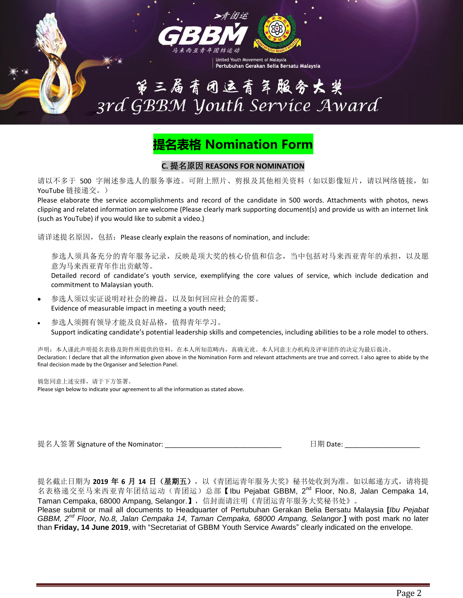

第三届青团运青年服务大奖<br>3rd GBBM Youth Service Award

United Youth Movement of Malaysia

Pertubuhan Gerakan Belia Bersatu Malaysia

## **提名表格 Nomination Form**

#### **C.** 提名原因 **REASONS FOR NOMINATION**

请以不多于 500 字阐述参选人的服务事迹。可附上照片、剪报及其他相关资料(如以影像短片,请以网络链接,如 YouTube 链接递交。)

Please elaborate the service accomplishments and record of the candidate in 500 words. Attachments with photos, news clipping and related information are welcome (Please clearly mark supporting document(s) and provide us with an internet link (such as YouTube) if you would like to submit a video.)

请详述提名原因,包括: Please clearly explain the reasons of nomination, and include:

参选人须具备充分的青年服务记录,反映是项大奖的核心价值和信念,当中包括对马来西亚青年的承担,以及愿 意为马来西亚青年作出贡献等。

Detailed record of candidate's youth service, exemplifying the core values of service, which include dedication and commitment to Malaysian youth.

- 参选人须以实证说明对社会的裨益,以及如何回应社会的需要。 Evidence of measurable impact in meeting a youth need;
- 参选人须拥有领导才能及良好品格,值得青年学习。 Support indicating candidate's potential leadership skills and competencies, including abilities to be a role model to others.

声明: 本人谨此声明提名表格及附件所提供的资料,在本人所知范畴内,真确无讹。本人同意主办机构及评审团作的决定为最后裁决。 Declaration: I declare that all the information given above in the Nomination Form and relevant attachments are true and correct. I also agree to abide by the final decision made by the Organiser and Selection Panel.

倘您同意上述安排,请于下方签署。 Please sign below to indicate your agreement to all the information as stated above.

提名人签署 Signature of the Nominator: \_\_\_\_\_\_\_\_\_\_\_\_\_\_\_\_\_\_\_\_\_\_\_\_\_\_\_\_\_\_\_ 日期 Date: \_\_\_\_\_\_\_\_\_\_\_\_\_\_\_\_\_\_\_\_

提名截止日期为 2019 年 6 月 14 日 (星期五), 以《青团运青年服务大奖》秘书处收到为准。如以邮递方式, 请将提 名表格递交至马来西亚青年团结运动(青团运)总部【Ibu Pejabat GBBM, 2<sup>nd</sup> Floor, No.8, Jalan Cempaka 14, Taman Cempaka, 68000 Ampang, Selangor.】,信封面请注明《青团运青年服务大奖秘书处》。

Please submit or mail all documents to Headquarter of Pertubuhan Gerakan Belia Bersatu Malaysia **[***Ibu Pejabat GBBM, 2nd Floor, No.8, Jalan Cempaka 14, Taman Cempaka, 68000 Ampang, Selangor*.**]** with post mark no later than **Friday, 14 June 2019**, with "Secretariat of GBBM Youth Service Awards" clearly indicated on the envelope.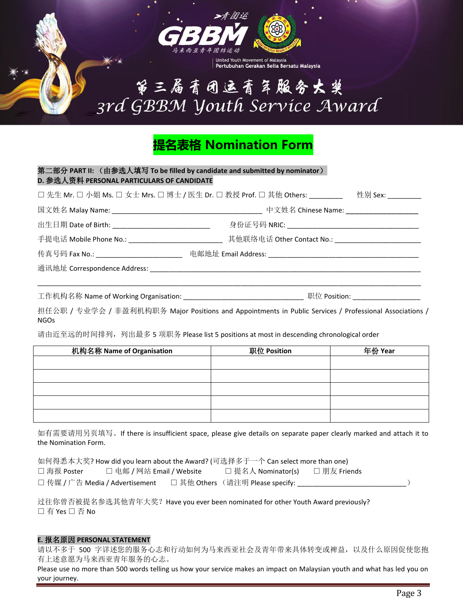

第三届青团运青年服务大奖 3rd GBBM Youth Service Award

Pertubuhan Gerakan Belia Bersatu Malaysia

## **提名表格 Nomination Form**

| D. 参选人资料 PERSONAL PARTICULARS OF CANDIDATE<br>□先生 Mr. □ 小姐 Ms. □ 女士 Mrs. □ 博士 / 医生 Dr. □ 教授 Prof. □ 其他 Others: ________  性别 Sex: _________ |  |  |  |
|--------------------------------------------------------------------------------------------------------------------------------------------|--|--|--|
|                                                                                                                                            |  |  |  |
|                                                                                                                                            |  |  |  |
| 手提电话 Mobile Phone No.: __________________________________ 其他联络电话 Other Contact No.: __________________________                             |  |  |  |
|                                                                                                                                            |  |  |  |
|                                                                                                                                            |  |  |  |
|                                                                                                                                            |  |  |  |
|                                                                                                                                            |  |  |  |

担任公职 / 专业学会 / 非盈利机构职务 Major Positions and Appointments in Public Services / Professional Associations / NGOs

请由近至远的时间排列,列出最多 5 项职务 Please list 5 positions at most in descending chronological order

| 机构名称 Name of Organisation | 职位 Position | 年份 Year |
|---------------------------|-------------|---------|
|                           |             |         |
|                           |             |         |
|                           |             |         |
|                           |             |         |
|                           |             |         |

如有需要请用另页填写。If there is insufficient space, please give details on separate paper clearly marked and attach it to the Nomination Form.

| 如何得悉本大奖? How did you learn about the Award? (可选择多于一个 Can select more than one) |                           |  |                                  |              |  |  |  |  |
|--------------------------------------------------------------------------------|---------------------------|--|----------------------------------|--------------|--|--|--|--|
| □ 海报 Poster                                                                    | □ 电邮 / 网站 Email / Website |  | □ 提名人 Nominator(s)               | □ 朋友 Friends |  |  |  |  |
| □ 传媒 / 广告 Media / Advertisement                                                |                           |  | □ 其他 Others (请注明 Please specify: |              |  |  |  |  |

过往你曾否被提名参选其他青年大奖?Have you ever been nominated for other Youth Award previously? □ 有 Yes □ 否 No

#### **E.** 报名原因 **PERSONAL STATEMENT**

请以不多于 500 字详述您的服务心志和行动如何为马来西亚社会及青年带来具体转变或裨益,以及什么原因促使您抱 有上述意愿为马来西亚青年服务的心志。

Please use no more than 500 words telling us how your service makes an impact on Malaysian youth and what has led you on your journey.